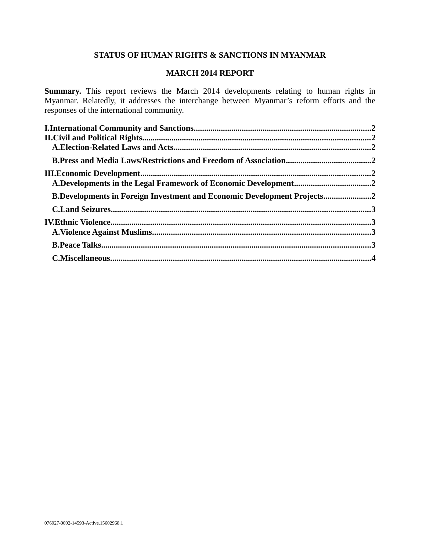# **STATUS OF HUMAN RIGHTS & SANCTIONS IN MYANMAR**

# **MARCH 2014 REPORT**

**Summary.** This report reviews the March 2014 developments relating to human rights in Myanmar. Relatedly, it addresses the interchange between Myanmar's reform efforts and the responses of the international community.

| A.Developments in the Legal Framework of Economic Development2          |  |
|-------------------------------------------------------------------------|--|
| B.Developments in Foreign Investment and Economic Development Projects2 |  |
|                                                                         |  |
|                                                                         |  |
|                                                                         |  |
|                                                                         |  |
|                                                                         |  |
|                                                                         |  |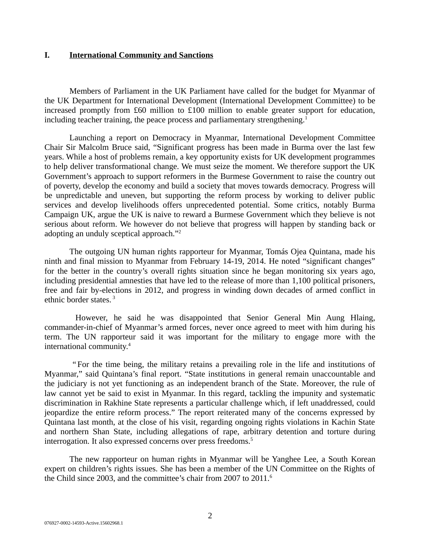# **I. International Community and Sanctions**

Members of Parliament in the UK Parliament have called for the budget for Myanmar of the UK Department for International Development (International Development Committee) to be increased promptly from £60 million to £100 million to enable greater support for education, including teacher training, the peace process and parliamentary strengthening.<sup>1</sup>

Launching a report on Democracy in Myanmar, International Development Committee Chair Sir Malcolm Bruce said, "Significant progress has been made in Burma over the last few years. While a host of problems remain, a key opportunity exists for UK development programmes to help deliver transformational change. We must seize the moment. We therefore support the UK Government's approach to support reformers in the Burmese Government to raise the country out of poverty, develop the economy and build a society that moves towards democracy. Progress will be unpredictable and uneven, but supporting the reform process by working to deliver public services and develop livelihoods offers unprecedented potential. Some critics, notably Burma Campaign UK, argue the UK is naive to reward a Burmese Government which they believe is not serious about reform. We however do not believe that progress will happen by standing back or adopting an unduly sceptical approach."<sup>2</sup>

The outgoing UN human rights rapporteur for Myanmar, Tomás Ojea Quintana, made his ninth and final mission to Myanmar from February 14-19, 2014. He noted "significant changes" for the better in the country's overall rights situation since he began monitoring six years ago, including presidential amnesties that have led to the release of more than 1,100 political prisoners, free and fair by-elections in 2012, and progress in winding down decades of armed conflict in ethnic border states. <sup>3</sup>

However, he said he was disappointed that Senior General Min Aung Hlaing, commander-in-chief of Myanmar's armed forces, never once agreed to meet with him during his term. The UN rapporteur said it was important for the military to engage more with the international community.<sup>4</sup>

 " For the time being, the military retains a prevailing role in the life and institutions of Myanmar," said Quintana's final report. "State institutions in general remain unaccountable and the judiciary is not yet functioning as an independent branch of the State. Moreover, the rule of law cannot yet be said to exist in Myanmar. In this regard, tackling the impunity and systematic discrimination in Rakhine State represents a particular challenge which, if left unaddressed, could jeopardize the entire reform process." The report reiterated many of the concerns expressed by Quintana last month, at the close of his visit, regarding ongoing rights violations in Kachin State and northern Shan State, including allegations of rape, arbitrary detention and torture during interrogation. It also expressed concerns over press freedoms.<sup>5</sup>

The new rapporteur on human rights in Myanmar will be Yanghee Lee, a South Korean expert on children's rights issues. She has been a member of the UN Committee on the Rights of the Child since 2003, and the committee's chair from 2007 to 2011.<sup>6</sup>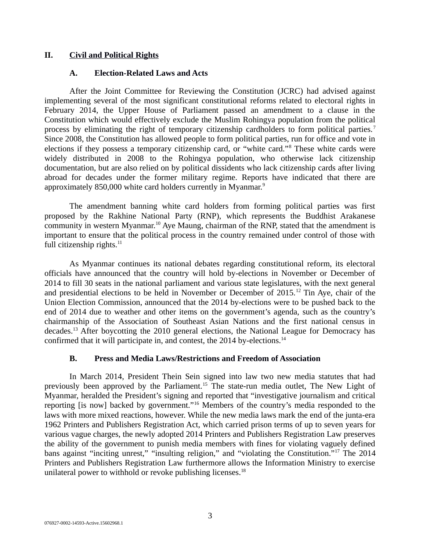# **II. Civil and Political Rights**

# **A. Election-Related Laws and Acts**

After the Joint Committee for Reviewing the Constitution (JCRC) had advised against implementing several of the most significant constitutional reforms related to electoral rights in February 2014, the Upper House of Parliament passed an amendment to a clause in the Constitution which would effectively exclude the Muslim Rohingya population from the political process by eliminating the right of temporary citizenship cardholders to form political parties.<sup>7</sup> Since 2008, the Constitution has allowed people to form political parties, run for office and vote in elections if they possess a temporary citizenship card, or "white card."<sup>8</sup> These white cards were widely distributed in 2008 to the Rohingya population, who otherwise lack citizenship documentation, but are also relied on by political dissidents who lack citizenship cards after living abroad for decades under the former military regime. Reports have indicated that there are approximately 850,000 white card holders currently in Myanmar.<sup>9</sup>

The amendment banning white card holders from forming political parties was first proposed by the Rakhine National Party (RNP), which represents the Buddhist Arakanese community in western Myanmar.<sup>10</sup> Aye Maung, chairman of the RNP, stated that the amendment is important to ensure that the political process in the country remained under control of those with full citizenship rights. $11$ 

As Myanmar continues its national debates regarding constitutional reform, its electoral officials have announced that the country will hold by-elections in November or December of 2014 to fill 30 seats in the national parliament and various state legislatures, with the next general and presidential elections to be held in November or December of 2015.<sup>12</sup> Tin Aye, chair of the Union Election Commission, announced that the 2014 by-elections were to be pushed back to the end of 2014 due to weather and other items on the government's agenda, such as the country's chairmanship of the Association of Southeast Asian Nations and the first national census in decades.<sup>13</sup> After boycotting the 2010 general elections, the National League for Democracy has confirmed that it will participate in, and contest, the 2014 by-elections.<sup>14</sup>

# **B. Press and Media Laws/Restrictions and Freedom of Association**

In March 2014, President Thein Sein signed into law two new media statutes that had previously been approved by the Parliament.<sup>15</sup> The state-run media outlet, The New Light of Myanmar, heralded the President's signing and reported that "investigative journalism and critical reporting [is now] backed by government."<sup>16</sup> Members of the country's media responded to the laws with more mixed reactions, however. While the new media laws mark the end of the junta-era 1962 Printers and Publishers Registration Act, which carried prison terms of up to seven years for various vague charges, the newly adopted 2014 Printers and Publishers Registration Law preserves the ability of the government to punish media members with fines for violating vaguely defined bans against "inciting unrest," "insulting religion," and "violating the Constitution."<sup>17</sup> The 2014 Printers and Publishers Registration Law furthermore allows the Information Ministry to exercise unilateral power to withhold or revoke publishing licenses.<sup>18</sup>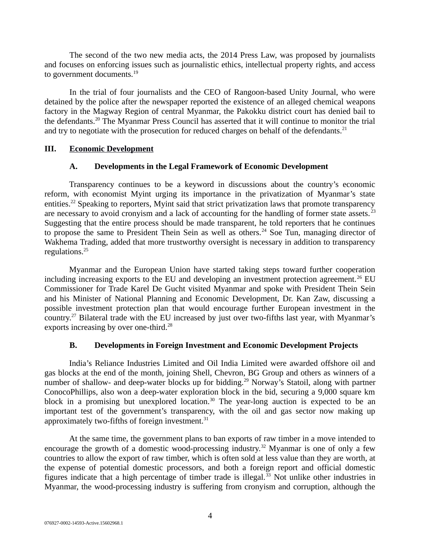The second of the two new media acts, the 2014 Press Law, was proposed by journalists and focuses on enforcing issues such as journalistic ethics, intellectual property rights, and access to government documents.<sup>19</sup>

In the trial of four journalists and the CEO of Rangoon-based Unity Journal, who were detained by the police after the newspaper reported the existence of an alleged chemical weapons factory in the Magway Region of central Myanmar, the Pakokku district court has denied bail to the defendants.<sup>20</sup> The Myanmar Press Council has asserted that it will continue to monitor the trial and try to negotiate with the prosecution for reduced charges on behalf of the defendants. $^{21}$ 

#### **III. Economic Development**

# **A. Developments in the Legal Framework of Economic Development**

Transparency continues to be a keyword in discussions about the country's economic reform, with economist Myint urging its importance in the privatization of Myanmar's state entities.<sup>22</sup> Speaking to reporters, Myint said that strict privatization laws that promote transparency are necessary to avoid cronyism and a lack of accounting for the handling of former state assets.<sup>23</sup> Suggesting that the entire process should be made transparent, he told reporters that he continues to propose the same to President Thein Sein as well as others.<sup>24</sup> Soe Tun, managing director of Wakhema Trading, added that more trustworthy oversight is necessary in addition to transparency regulations.<sup>25</sup>

Myanmar and the European Union have started taking steps toward further cooperation including increasing exports to the EU and developing an investment protection agreement.<sup>26</sup> EU Commissioner for Trade Karel De Gucht visited Myanmar and spoke with President Thein Sein and his Minister of National Planning and Economic Development, Dr. Kan Zaw, discussing a possible investment protection plan that would encourage further European investment in the country.<sup>27</sup> Bilateral trade with the EU increased by just over two-fifths last year, with Myanmar's exports increasing by over one-third.<sup>28</sup>

# **B. Developments in Foreign Investment and Economic Development Projects**

India's Reliance Industries Limited and Oil India Limited were awarded offshore oil and gas blocks at the end of the month, joining Shell, Chevron, BG Group and others as winners of a number of shallow- and deep-water blocks up for bidding.<sup>29</sup> Norway's Statoil, along with partner ConocoPhillips, also won a deep-water exploration block in the bid, securing a 9,000 square km block in a promising but unexplored location.<sup>30</sup> The year-long auction is expected to be an important test of the government's transparency, with the oil and gas sector now making up approximately two-fifths of foreign investment. $31$ 

At the same time, the government plans to ban exports of raw timber in a move intended to encourage the growth of a domestic wood-processing industry.<sup>32</sup> Myanmar is one of only a few countries to allow the export of raw timber, which is often sold at less value than they are worth, at the expense of potential domestic processors, and both a foreign report and official domestic figures indicate that a high percentage of timber trade is illegal. $33$  Not unlike other industries in Myanmar, the wood-processing industry is suffering from cronyism and corruption, although the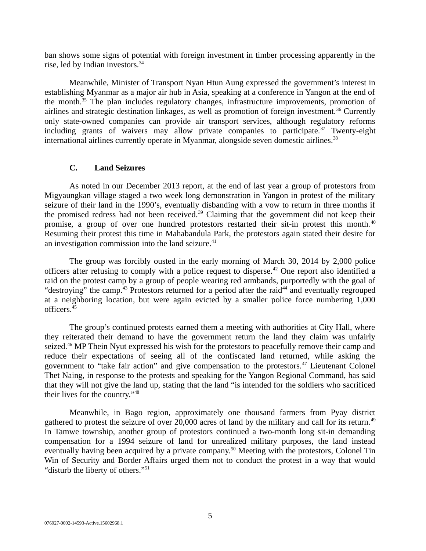ban shows some signs of potential with foreign investment in timber processing apparently in the rise, led by Indian investors.<sup>34</sup>

Meanwhile, Minister of Transport Nyan Htun Aung expressed the government's interest in establishing Myanmar as a major air hub in Asia, speaking at a conference in Yangon at the end of the month.<sup>35</sup> The plan includes regulatory changes, infrastructure improvements, promotion of airlines and strategic destination linkages, as well as promotion of foreign investment.<sup>36</sup> Currently only state-owned companies can provide air transport services, although regulatory reforms including grants of waivers may allow private companies to participate.<sup>37</sup> Twenty-eight international airlines currently operate in Myanmar, alongside seven domestic airlines.<sup>38</sup>

#### **C. Land Seizures**

As noted in our December 2013 report, at the end of last year a group of protestors from Migyaungkan village staged a two week long demonstration in Yangon in protest of the military seizure of their land in the 1990's, eventually disbanding with a vow to return in three months if the promised redress had not been received.<sup>39</sup> Claiming that the government did not keep their promise, a group of over one hundred protestors restarted their sit-in protest this month.<sup>40</sup> Resuming their protest this time in Mahabandula Park, the protestors again stated their desire for an investigation commission into the land seizure.<sup>41</sup>

The group was forcibly ousted in the early morning of March 30, 2014 by 2,000 police officers after refusing to comply with a police request to disperse.<sup>42</sup> One report also identified a raid on the protest camp by a group of people wearing red armbands, purportedly with the goal of "destroying" the camp.<sup>43</sup> Protestors returned for a period after the raid<sup>44</sup> and eventually regrouped at a neighboring location, but were again evicted by a smaller police force numbering 1,000 officers.<sup>45</sup>

The group's continued protests earned them a meeting with authorities at City Hall, where they reiterated their demand to have the government return the land they claim was unfairly seized.<sup>46</sup> MP Thein Nyut expressed his wish for the protestors to peacefully remove their camp and reduce their expectations of seeing all of the confiscated land returned, while asking the government to "take fair action" and give compensation to the protestors. $47$  Lieutenant Colonel Thet Naing, in response to the protests and speaking for the Yangon Regional Command, has said that they will not give the land up, stating that the land "is intended for the soldiers who sacrificed their lives for the country."<sup>48</sup>

Meanwhile, in Bago region, approximately one thousand farmers from Pyay district gathered to protest the seizure of over 20,000 acres of land by the military and call for its return.<sup>49</sup> In Tamwe township, another group of protestors continued a two-month long sit-in demanding compensation for a 1994 seizure of land for unrealized military purposes, the land instead eventually having been acquired by a private company.<sup>50</sup> Meeting with the protestors, Colonel Tin Win of Security and Border Affairs urged them not to conduct the protest in a way that would "disturb the liberty of others."<sup>51</sup>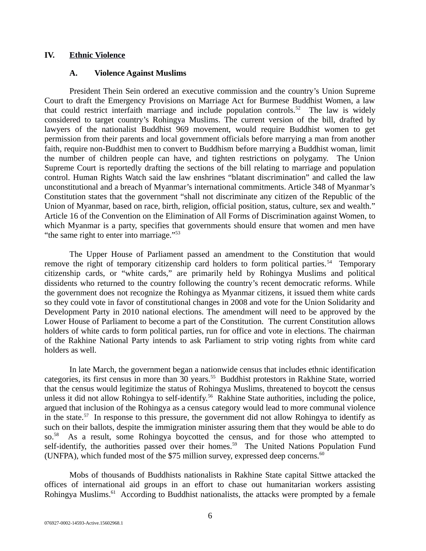# **IV. Ethnic Violence**

#### **A. Violence Against Muslims**

President Thein Sein ordered an executive commission and the country's Union Supreme Court to draft the Emergency Provisions on Marriage Act for Burmese Buddhist Women, a law that could restrict interfaith marriage and include population controls.<sup>52</sup> The law is widely considered to target country's Rohingya Muslims. The current version of the bill, drafted by lawyers of the nationalist Buddhist 969 movement, would require Buddhist women to get permission from their parents and local government officials before marrying a man from another faith, require non-Buddhist men to convert to Buddhism before marrying a Buddhist woman, limit the number of children people can have, and tighten restrictions on polygamy. The Union Supreme Court is reportedly drafting the sections of the bill relating to marriage and population control. Human Rights Watch said the law enshrines "blatant discrimination" and called the law unconstitutional and a breach of Myanmar's international commitments. Article 348 of Myanmar's Constitution states that the government "shall not discriminate any citizen of the Republic of the Union of Myanmar, based on race, birth, religion, official position, status, culture, sex and wealth." Article 16 of the Convention on the Elimination of All Forms of Discrimination against Women, to which Myanmar is a party, specifies that governments should ensure that women and men have "the same right to enter into marriage."<sup>53</sup>

The Upper House of Parliament passed an amendment to the Constitution that would remove the right of temporary citizenship card holders to form political parties.<sup>54</sup> Temporary citizenship cards, or "white cards," are primarily held by Rohingya Muslims and political dissidents who returned to the country following the country's recent democratic reforms. While the government does not recognize the Rohingya as Myanmar citizens, it issued them white cards so they could vote in favor of constitutional changes in 2008 and vote for the Union Solidarity and Development Party in 2010 national elections. The amendment will need to be approved by the Lower House of Parliament to become a part of the Constitution. The current Constitution allows holders of white cards to form political parties, run for office and vote in elections. The chairman of the Rakhine National Party intends to ask Parliament to strip voting rights from white card holders as well.

In late March, the government began a nationwide census that includes ethnic identification categories, its first census in more than 30 years.<sup>55</sup> Buddhist protestors in Rakhine State, worried that the census would legitimize the status of Rohingya Muslims, threatened to boycott the census unless it did not allow Rohingya to self-identify.<sup>56</sup> Rakhine State authorities, including the police, argued that inclusion of the Rohingya as a census category would lead to more communal violence in the state.<sup>57</sup> In response to this pressure, the government did not allow Rohingya to identify as such on their ballots, despite the immigration minister assuring them that they would be able to do so.<sup>58</sup> As a result, some Rohingya boycotted the census, and for those who attempted to self-identify, the authorities passed over their homes.<sup>59</sup> The United Nations Population Fund (UNFPA), which funded most of the \$75 million survey, expressed deep concerns. $60$ 

Mobs of thousands of Buddhists nationalists in Rakhine State capital Sittwe attacked the offices of international aid groups in an effort to chase out humanitarian workers assisting Rohingya Muslims.<sup>61</sup> According to Buddhist nationalists, the attacks were prompted by a female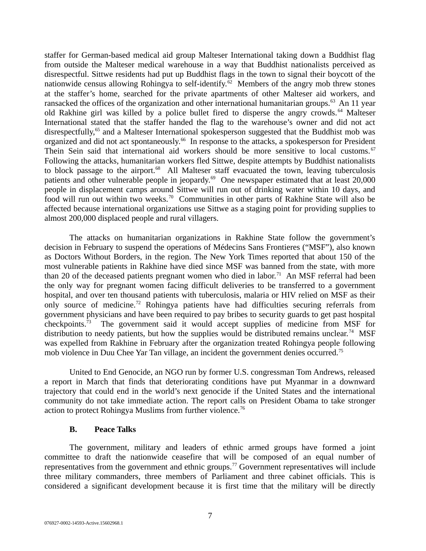staffer for German-based medical aid group Malteser International taking down a Buddhist flag from outside the Malteser medical warehouse in a way that Buddhist nationalists perceived as disrespectful. Sittwe residents had put up Buddhist flags in the town to signal their boycott of the nationwide census allowing Rohingya to self-identify.<sup>62</sup> Members of the angry mob threw stones at the staffer's home, searched for the private apartments of other Malteser aid workers, and ransacked the offices of the organization and other international humanitarian groups. $63$  An 11 year old Rakhine girl was killed by a police bullet fired to disperse the angry crowds.<sup>64</sup> Malteser International stated that the staffer handed the flag to the warehouse's owner and did not act disrespectfully,<sup>65</sup> and a Malteser International spokesperson suggested that the Buddhist mob was organized and did not act spontaneously.<sup>66</sup> In response to the attacks, a spokesperson for President Thein Sein said that international aid workers should be more sensitive to local customs.<sup>67</sup> Following the attacks, humanitarian workers fled Sittwe, despite attempts by Buddhist nationalists to block passage to the airport.<sup>68</sup> All Malteser staff evacuated the town, leaving tuberculosis patients and other vulnerable people in jeopardy.<sup>69</sup> One newspaper estimated that at least 20,000 people in displacement camps around Sittwe will run out of drinking water within 10 days, and food will run out within two weeks.<sup>70</sup> Communities in other parts of Rakhine State will also be affected because international organizations use Sittwe as a staging point for providing supplies to almost 200,000 displaced people and rural villagers.

The attacks on humanitarian organizations in Rakhine State follow the government's decision in February to suspend the operations of Médecins Sans Frontieres ("MSF"), also known as Doctors Without Borders, in the region. The New York Times reported that about 150 of the most vulnerable patients in Rakhine have died since MSF was banned from the state, with more than 20 of the deceased patients pregnant women who died in labor.<sup>71</sup> An MSF referral had been the only way for pregnant women facing difficult deliveries to be transferred to a government hospital, and over ten thousand patients with tuberculosis, malaria or HIV relied on MSF as their only source of medicine.<sup>72</sup> Rohingya patients have had difficulties securing referrals from government physicians and have been required to pay bribes to security guards to get past hospital checkpoints.<sup>73</sup> The government said it would accept supplies of medicine from MSF for distribution to needy patients, but how the supplies would be distributed remains unclear.<sup>74</sup> MSF was expelled from Rakhine in February after the organization treated Rohingya people following mob violence in Duu Chee Yar Tan village, an incident the government denies occurred.<sup>75</sup>

United to End Genocide, an NGO run by former U.S. congressman Tom Andrews, released a report in March that finds that deteriorating conditions have put Myanmar in a downward trajectory that could end in the world's next genocide if the United States and the international community do not take immediate action. The report calls on President Obama to take stronger action to protect Rohingya Muslims from further violence.<sup>76</sup>

#### **B. Peace Talks**

The government, military and leaders of ethnic armed groups have formed a joint committee to draft the nationwide ceasefire that will be composed of an equal number of representatives from the government and ethnic groups.<sup>77</sup> Government representatives will include three military commanders, three members of Parliament and three cabinet officials. This is considered a significant development because it is first time that the military will be directly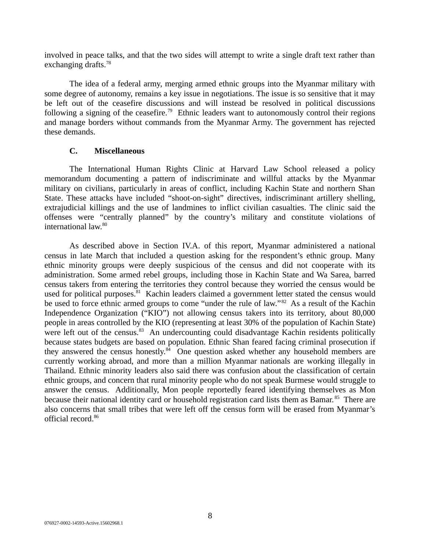involved in peace talks, and that the two sides will attempt to write a single draft text rather than exchanging drafts. $78$ 

The idea of a federal army, merging armed ethnic groups into the Myanmar military with some degree of autonomy, remains a key issue in negotiations. The issue is so sensitive that it may be left out of the ceasefire discussions and will instead be resolved in political discussions following a signing of the ceasefire.<sup>79</sup> Ethnic leaders want to autonomously control their regions and manage borders without commands from the Myanmar Army. The government has rejected these demands.

# **C. Miscellaneous**

The International Human Rights Clinic at Harvard Law School released a policy memorandum documenting a pattern of indiscriminate and willful attacks by the Myanmar military on civilians, particularly in areas of conflict, including Kachin State and northern Shan State. These attacks have included "shoot-on-sight" directives, indiscriminant artillery shelling, extrajudicial killings and the use of landmines to inflict civilian casualties. The clinic said the offenses were "centrally planned" by the country's military and constitute violations of international law.<sup>80</sup>

As described above in Section IV.A. of this report, Myanmar administered a national census in late March that included a question asking for the respondent's ethnic group. Many ethnic minority groups were deeply suspicious of the census and did not cooperate with its administration. Some armed rebel groups, including those in Kachin State and Wa Sarea, barred census takers from entering the territories they control because they worried the census would be used for political purposes.<sup>81</sup> Kachin leaders claimed a government letter stated the census would be used to force ethnic armed groups to come "under the rule of law."<sup>82</sup> As a result of the Kachin Independence Organization ("KIO") not allowing census takers into its territory, about 80,000 people in areas controlled by the KIO (representing at least 30% of the population of Kachin State) were left out of the census. $83$  An undercounting could disadvantage Kachin residents politically because states budgets are based on population. Ethnic Shan feared facing criminal prosecution if they answered the census honestly.<sup>84</sup> One question asked whether any household members are currently working abroad, and more than a million Myanmar nationals are working illegally in Thailand. Ethnic minority leaders also said there was confusion about the classification of certain ethnic groups, and concern that rural minority people who do not speak Burmese would struggle to answer the census. Additionally, Mon people reportedly feared identifying themselves as Mon because their national identity card or household registration card lists them as Bamar.<sup>85</sup> There are also concerns that small tribes that were left off the census form will be erased from Myanmar's official record.<sup>86</sup>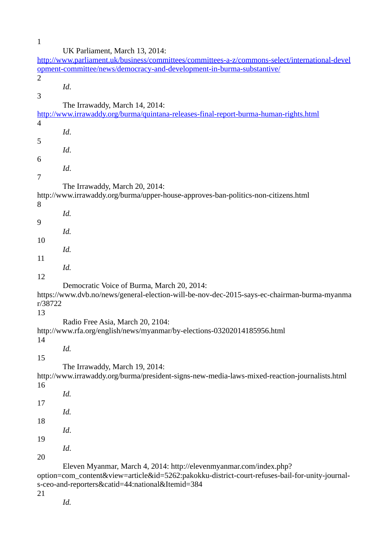| $\mathbf{1}$                                                                                   |                                                                                                |  |
|------------------------------------------------------------------------------------------------|------------------------------------------------------------------------------------------------|--|
|                                                                                                | UK Parliament, March 13, 2014:                                                                 |  |
|                                                                                                | http://www.parliament.uk/business/committees/committees-a-z/commons-select/international-devel |  |
|                                                                                                | opment-committee/news/democracy-and-development-in-burma-substantive/                          |  |
| $\overline{2}$                                                                                 |                                                                                                |  |
|                                                                                                | Id.                                                                                            |  |
| 3                                                                                              |                                                                                                |  |
|                                                                                                | The Irrawaddy, March 14, 2014:                                                                 |  |
|                                                                                                | http://www.irrawaddy.org/burma/quintana-releases-final-report-burma-human-rights.html          |  |
| $\overline{4}$                                                                                 |                                                                                                |  |
|                                                                                                | Id.                                                                                            |  |
| 5                                                                                              |                                                                                                |  |
|                                                                                                | Id.                                                                                            |  |
| 6                                                                                              |                                                                                                |  |
|                                                                                                | Id.                                                                                            |  |
| 7                                                                                              |                                                                                                |  |
|                                                                                                | The Irrawaddy, March 20, 2014:                                                                 |  |
|                                                                                                | http://www.irrawaddy.org/burma/upper-house-approves-ban-politics-non-citizens.html             |  |
| 8                                                                                              |                                                                                                |  |
|                                                                                                | Id.                                                                                            |  |
| 9                                                                                              |                                                                                                |  |
|                                                                                                | Id.                                                                                            |  |
| 10                                                                                             |                                                                                                |  |
|                                                                                                | Id.                                                                                            |  |
| 11                                                                                             |                                                                                                |  |
|                                                                                                | Id.                                                                                            |  |
| 12                                                                                             |                                                                                                |  |
|                                                                                                | Democratic Voice of Burma, March 20, 2014:                                                     |  |
| r/38722                                                                                        | https://www.dvb.no/news/general-election-will-be-nov-dec-2015-says-ec-chairman-burma-myanma    |  |
| 13                                                                                             |                                                                                                |  |
|                                                                                                | Radio Free Asia, March 20, 2104:                                                               |  |
|                                                                                                | http://www.rfa.org/english/news/myanmar/by-elections-03202014185956.html                       |  |
| 14                                                                                             |                                                                                                |  |
|                                                                                                | Id.                                                                                            |  |
| 15                                                                                             |                                                                                                |  |
|                                                                                                | The Irrawaddy, March 19, 2014:                                                                 |  |
|                                                                                                | http://www.irrawaddy.org/burma/president-signs-new-media-laws-mixed-reaction-journalists.html  |  |
| 16                                                                                             |                                                                                                |  |
|                                                                                                | Id.                                                                                            |  |
| 17                                                                                             |                                                                                                |  |
|                                                                                                | Id.                                                                                            |  |
| 18                                                                                             |                                                                                                |  |
|                                                                                                | Id.                                                                                            |  |
| 19                                                                                             |                                                                                                |  |
|                                                                                                | Id.                                                                                            |  |
| 20                                                                                             |                                                                                                |  |
|                                                                                                | Eleven Myanmar, March 4, 2014: http://elevenmyanmar.com/index.php?                             |  |
| option=com_content&view=article&id=5262:pakokku-district-court-refuses-bail-for-unity-journal- |                                                                                                |  |
|                                                                                                | s-ceo-and-reporters&catid=44:national&Itemid=384                                               |  |
| 21                                                                                             |                                                                                                |  |
|                                                                                                | Id.                                                                                            |  |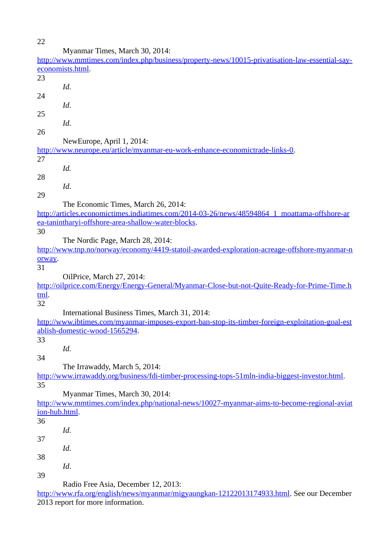22

|               | Myanmar Times, March 30, 2014:                                                                         |
|---------------|--------------------------------------------------------------------------------------------------------|
|               | http://www.mmtimes.com/index.php/business/property-news/10015-privatisation-law-essential-say-         |
|               | economists.html.                                                                                       |
| 23            |                                                                                                        |
|               | Id.                                                                                                    |
| 24            |                                                                                                        |
|               | Id.                                                                                                    |
|               |                                                                                                        |
| 25            |                                                                                                        |
|               | Id.                                                                                                    |
| 26            |                                                                                                        |
|               | NewEurope, April 1, 2014:                                                                              |
|               | <u>http://www.neurope.eu/article/myanmar-eu-work-enhance-economictrade-links-0.</u>                    |
| 27            |                                                                                                        |
|               | Id.                                                                                                    |
| 28            |                                                                                                        |
|               | Id.                                                                                                    |
| 29            |                                                                                                        |
|               |                                                                                                        |
|               | The Economic Times, March 26, 2014:                                                                    |
|               | http://articles.economictimes.indiatimes.com/2014-03-26/news/48594864 1 moattama-offshore-ar           |
|               | ea-tanintharyi-offshore-area-shallow-water-blocks.                                                     |
| 30            |                                                                                                        |
|               | The Nordic Page, March 28, 2014:                                                                       |
|               | <u>http://www.tnp.no/norway/economy/4419-statoil-awarded-exploration-acreage-offshore-myanmar-n</u>    |
| orway.        |                                                                                                        |
| 31            |                                                                                                        |
|               | OilPrice, March 27, 2014:                                                                              |
|               | http://oilprice.com/Energy/Energy-General/Myanmar-Close-but-not-Quite-Ready-for-Prime-Time.h           |
|               |                                                                                                        |
| <u>tml</u> .  |                                                                                                        |
| 32            |                                                                                                        |
|               | International Business Times, March 31, 2014:                                                          |
|               | http://www.ibtimes.com/myanmar-imposes-export-ban-stop-its-timber-foreign-exploitation-goal-est        |
|               | ablish-domestic-wood-1565294.                                                                          |
| 33            |                                                                                                        |
|               | Id.                                                                                                    |
| 34            |                                                                                                        |
|               | The Irrawaddy, March 5, 2014:                                                                          |
|               | <u>http://www.irrawaddy.org/business/fdi-timber-processing-tops-51mln-india-biggest-investor.html.</u> |
| 35            |                                                                                                        |
|               |                                                                                                        |
|               | Myanmar Times, March 30, 2014:                                                                         |
|               | http://www.mmtimes.com/index.php/national-news/10027-myanmar-aims-to-become-regional-aviat             |
| ion-hub.html. |                                                                                                        |
| 36            |                                                                                                        |
|               | Id.                                                                                                    |
| 37            |                                                                                                        |
|               | Id.                                                                                                    |
| 38            |                                                                                                        |
|               | Id.                                                                                                    |
| 39            |                                                                                                        |
|               |                                                                                                        |
|               | Radio Free Asia, December 12, 2013:                                                                    |
|               | <u>http://www.rfa.org/english/news/myanmar/migyaungkan-12122013174933.html</u> . See our December      |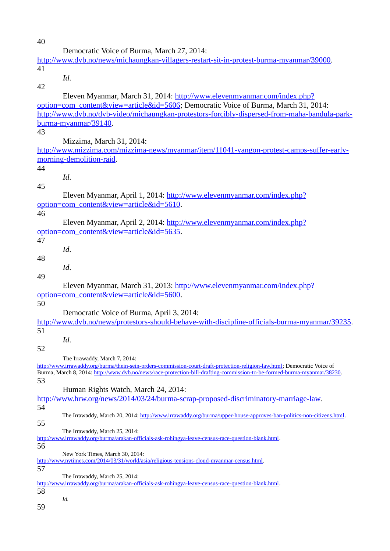| 40 |                                                                                                                                                            |
|----|------------------------------------------------------------------------------------------------------------------------------------------------------------|
|    | Democratic Voice of Burma, March 27, 2014:                                                                                                                 |
|    | http://www.dvb.no/news/michaungkan-villagers-restart-sit-in-protest-burma-myanmar/39000.                                                                   |
| 41 |                                                                                                                                                            |
|    | Id.                                                                                                                                                        |
| 42 |                                                                                                                                                            |
|    |                                                                                                                                                            |
|    | Eleven Myanmar, March 31, 2014: http://www.elevenmyanmar.com/index.php?                                                                                    |
|    | option=com_content&view=article&id=5606; Democratic Voice of Burma, March 31, 2014:                                                                        |
|    | http://www.dvb.no/dvb-video/michaungkan-protestors-forcibly-dispersed-from-maha-bandula-park-                                                              |
|    | burma-myanmar/39140.                                                                                                                                       |
| 43 |                                                                                                                                                            |
|    | Mizzima, March 31, 2014:                                                                                                                                   |
|    | http://www.mizzima.com/mizzima-news/myanmar/item/11041-yangon-protest-camps-suffer-early-                                                                  |
|    | morning-demolition-raid.                                                                                                                                   |
| 44 |                                                                                                                                                            |
|    | Id.                                                                                                                                                        |
| 45 |                                                                                                                                                            |
|    | Eleven Myanmar, April 1, 2014: http://www.elevenmyanmar.com/index.php?                                                                                     |
|    | option=com_content&view=article&id=5610.                                                                                                                   |
| 46 |                                                                                                                                                            |
|    | Eleven Myanmar, April 2, 2014: http://www.elevenmyanmar.com/index.php?                                                                                     |
|    | option=com_content&view=article&id=5635.                                                                                                                   |
| 47 |                                                                                                                                                            |
|    | Id.                                                                                                                                                        |
| 48 |                                                                                                                                                            |
|    | Id.                                                                                                                                                        |
| 49 |                                                                                                                                                            |
|    | Eleven Myanmar, March 31, 2013: http://www.elevenmyanmar.com/index.php?                                                                                    |
|    | option=com_content&view=article&id=5600.                                                                                                                   |
| 50 |                                                                                                                                                            |
|    | Democratic Voice of Burma, April 3, 2014:                                                                                                                  |
|    | http://www.dvb.no/news/protestors-should-behave-with-discipline-officials-burma-myanmar/39235.                                                             |
| 51 |                                                                                                                                                            |
|    |                                                                                                                                                            |
|    | Id.                                                                                                                                                        |
| 52 |                                                                                                                                                            |
|    | The Irrawaddy, March 7, 2014:<br>http://www.irrawaddy.org/burma/thein-sein-orders-commission-court-draft-protection-religion-law.html; Democratic Voice of |
|    | Burma, March 8, 2014: http://www.dvb.no/news/race-protection-bill-drafting-commission-to-be-formed-burma-myanmar/38230.                                    |
| 53 |                                                                                                                                                            |
|    | Human Rights Watch, March 24, 2014:                                                                                                                        |
|    | http://www.hrw.org/news/2014/03/24/burma-scrap-proposed-discriminatory-marriage-law.                                                                       |
| 54 |                                                                                                                                                            |
|    | The Irrawaddy, March 20, 2014: http://www.irrawaddy.org/burma/upper-house-approves-ban-politics-non-citizens.html.                                         |
| 55 |                                                                                                                                                            |
|    | The Irrawaddy, March 25, 2014:                                                                                                                             |
|    | http://www.irrawaddy.org/burma/arakan-officials-ask-rohingya-leave-census-race-question-blank.html.                                                        |
| 56 |                                                                                                                                                            |
|    | New York Times, March 30, 2014:<br>http://www.nytimes.com/2014/03/31/world/asia/religious-tensions-cloud-myanmar-census.html.                              |
| 57 |                                                                                                                                                            |
|    | The Irrawaddy, March 25, 2014:                                                                                                                             |
|    | http://www.irrawaddy.org/burma/arakan-officials-ask-rohingya-leave-census-race-question-blank.html.                                                        |
|    |                                                                                                                                                            |

58

*Id.*

59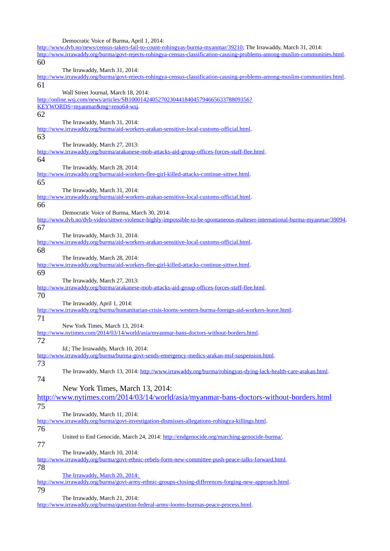Democratic Voice of Burma, April 1, 2014:

[http://www.dvb.no/news/census-takers-fail-to-count-rohingyas-burma-myanmar/39210;](http://www.dvb.no/news/census-takers-fail-to-count-rohingyas-burma-myanmar/39210) The Irrawaddy, March 31, 2014: [http://www.irrawaddy.org/burma/govt-rejects-rohingya-census-classification-causing-problems-among-muslim-communities.html.](http://www.irrawaddy.org/burma/govt-rejects-rohingya-census-classification-causing-problems-among-muslim-communities.html) 60 The Irrawaddy, March 31, 2014: [http://www.irrawaddy.org/burma/govt-rejects-rohingya-census-classification-causing-problems-among-muslim-communities.html.](http://www.irrawaddy.org/burma/govt-rejects-rohingya-census-classification-causing-problems-among-muslim-communities.html) 61 Wall Street Journal, March 18, 2014: [http://online.wsj.com/news/articles/SB10001424052702304418404579466563378809356?](http://online.wsj.com/news/articles/SB10001424052702304418404579466563378809356?KEYWORDS=myanmar&mg=reno64-wsj) [KEYWORDS=myanmar&mg=reno64-wsj.](http://online.wsj.com/news/articles/SB10001424052702304418404579466563378809356?KEYWORDS=myanmar&mg=reno64-wsj) 62 The Irrawaddy, March 31, 2014: [http://www.irrawaddy.org/burma/aid-workers-arakan-sensitive-local-customs-official.html.](http://www.irrawaddy.org/burma/aid-workers-arakan-sensitive-local-customs-official.html) 63 The Irrawaddy, March 27, 2013: [http://www.irrawaddy.org/burma/arakanese-mob-attacks-aid-group-offices-forces-staff-flee.html.](http://www.irrawaddy.org/burma/arakanese-mob-attacks-aid-group-offices-forces-staff-flee.html) 64 The Irrawaddy, March 28, 2014: [http://www.irrawaddy.org/burma/aid-workers-flee-girl-killed-attacks-continue-sittwe.html.](http://www.irrawaddy.org/burma/aid-workers-flee-girl-killed-attacks-continue-sittwe.html) 65 The Irrawaddy, March 31, 2014: [http://www.irrawaddy.org/burma/aid-workers-arakan-sensitive-local-customs-official.html.](http://www.irrawaddy.org/burma/aid-workers-arakan-sensitive-local-customs-official.html) 66 Democratic Voice of Burma, March 30, 2014: [http://www.dvb.no/dvb-video/sittwe-violence-highly-impossible-to-be-spontaneous-malteser-international-burma-myanmar/39094.](http://www.dvb.no/dvb-video/sittwe-violence-highly-impossible-to-be-spontaneous-malteser-international-burma-myanmar/39094) 67 The Irrawaddy, March 31, 2014: [http://www.irrawaddy.org/burma/aid-workers-arakan-sensitive-local-customs-official.html.](http://www.irrawaddy.org/burma/aid-workers-arakan-sensitive-local-customs-official.html) 68 The Irrawaddy, March 28, 2014: [http://www.irrawaddy.org/burma/aid-workers-flee-girl-killed-attacks-continue-sittwe.html.](http://www.irrawaddy.org/burma/aid-workers-flee-girl-killed-attacks-continue-sittwe.html) 69 The Irrawaddy, March 27, 2013: [http://www.irrawaddy.org/burma/arakanese-mob-attacks-aid-group-offices-forces-staff-flee.html.](http://www.irrawaddy.org/burma/arakanese-mob-attacks-aid-group-offices-forces-staff-flee.html) 70 The Irrawaddy, April 1, 2014: [http://www.irrawaddy.org/burma/humanitarian-crisis-looms-western-burma-foreign-aid-workers-leave.html.](http://www.irrawaddy.org/burma/humanitarian-crisis-looms-western-burma-foreign-aid-workers-leave.html) 71 New York Times, March 13, 2014: [http://www.nytimes.com/2014/03/14/world/asia/myanmar-bans-doctors-without-borders.html.](http://www.nytimes.com/2014/03/14/world/asia/myanmar-bans-doctors-without-borders.html) 72 *Id.*; The Irrawaddy, March 10, 2014: [http://www.irrawaddy.org/burma/burma-govt-sends-emergency-medics-arakan-msf-suspension.html.](http://www.irrawaddy.org/burma/burma-govt-sends-emergency-medics-arakan-msf-suspension.html) 73 The Irrawaddy, March 13, 2014: [http://www.irrawaddy.org/burma/rohingyas-dying-lack-health-care-arakan.html.](http://www.irrawaddy.org/burma/rohingyas-dying-lack-health-care-arakan.html) 74 New York Times, March 13, 2014: <http://www.nytimes.com/2014/03/14/world/asia/myanmar-bans-doctors-without-borders.html> 75 The Irrawaddy, March 11, 2014: [http://www.irrawaddy.org/burma/govt-investigation-dismisses-allegations-rohingya-killings.html.](http://www.irrawaddy.org/burma/govt-investigation-dismisses-allegations-rohingya-killings.html) 76 United to End Genocide, March 24, 2014: [http://endgenocide.org/marching-genocide-burma/.](http://endgenocide.org/marching-genocide-burma/) 77 The Irrawaddy, March 10, 2014: [http://www.irrawaddy.org/burma/govt-ethnic-rebels-form-new-committee-push-peace-talks-forward.html.](http://www.irrawaddy.org/burma/govt-ethnic-rebels-form-new-committee-push-peace-talks-forward.html) 78 [The Irrawaddy, March 20, 2014:](http://www.irrawaddy.org/burma/govt-army-ethnic-groups-closing-differences-forging-new-approach.html)  [http://www.irrawaddy.org/burma/govt-army-ethnic-groups-closing-differences-forging-new-approach.html.](http://www.irrawaddy.org/burma/govt-army-ethnic-groups-closing-differences-forging-new-approach.html) 79 The Irrawaddy, March 21, 2014: [http://www.irrawaddy.org/burma/question-federal-army-looms-burmas-peace-process.html.](http://www.irrawaddy.org/burma/question-federal-army-looms-burmas-peace-process.html)